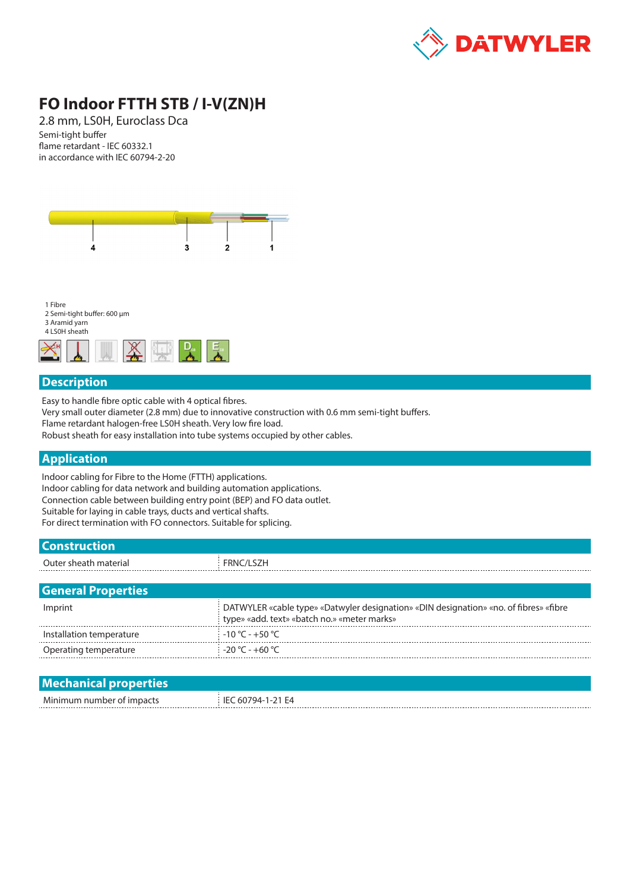

# **FO Indoor FTTH STB / I-V(ZN)H**

2.8 mm, LS0H, Euroclass Dca Semi-tight buffer

flame retardant - IEC 60332.1 in accordance with IEC 60794-2-20





#### **Description**

Easy to handle fibre optic cable with 4 optical fibres.

Very small outer diameter (2.8 mm) due to innovative construction with 0.6 mm semi-tight buffers.

Flame retardant halogen-free LS0H sheath. Very low fire load.

Robust sheath for easy installation into tube systems occupied by other cables.

#### **Application**

Indoor cabling for Fibre to the Home (FTTH) applications. Indoor cabling for data network and building automation applications. Connection cable between building entry point (BEP) and FO data outlet. Suitable for laying in cable trays, ducts and vertical shafts. For direct termination with FO connectors. Suitable for splicing.

| <b>Construction</b>       |                                                                                                                                      |  |  |  |  |
|---------------------------|--------------------------------------------------------------------------------------------------------------------------------------|--|--|--|--|
| Outer sheath material     | <b>FRNC/LSZH</b>                                                                                                                     |  |  |  |  |
|                           |                                                                                                                                      |  |  |  |  |
| <b>General Properties</b> |                                                                                                                                      |  |  |  |  |
| Imprint                   | DATWYLER «cable type» «Datwyler designation» «DIN designation» «no. of fibres» «fibre<br>type» «add. text» «batch no.» «meter marks» |  |  |  |  |
| Installation temperature  | $-10\degree$ C - $+50\degree$ C                                                                                                      |  |  |  |  |
| Operating temperature     | $-20 °C - +60 °C$                                                                                                                    |  |  |  |  |

| <b>N</b><br>____ |  |
|------------------|--|
| Mir<br>.         |  |